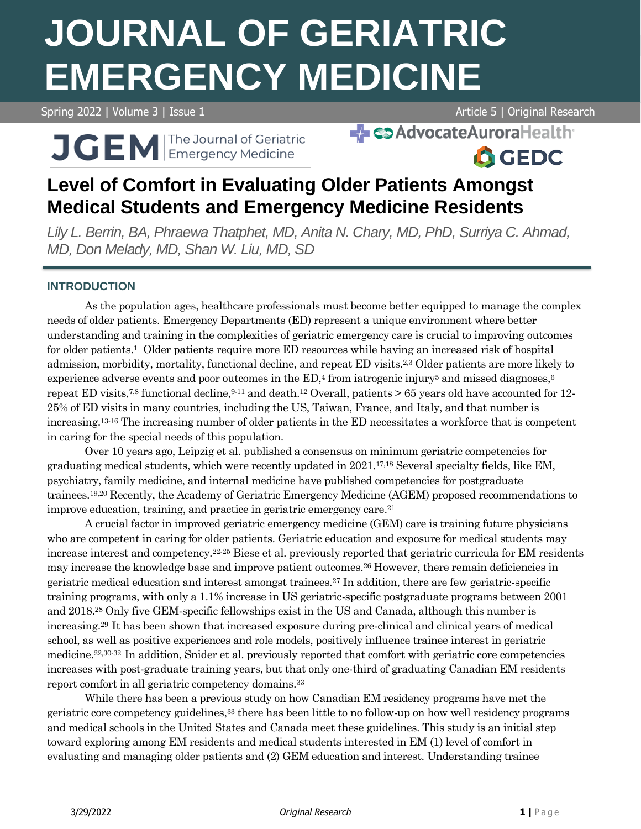# **JOURNAL OF GERIATRIC EMERGENCY MEDICINE**

Spring 2022 | Volume 3 | Issue 1 Article 5 | Original Research

**A**GEDC

J GEM The Journal of Geriatric

**- Co Advocate Aurora Health** 

# **Level of Comfort in Evaluating Older Patients Amongst Medical Students and Emergency Medicine Residents**

*Lily L. Berrin, BA, Phraewa Thatphet, MD, Anita N. Chary, MD, PhD, Surriya C. Ahmad, MD, Don Melady, MD, Shan W. Liu, MD, SD*

## **INTRODUCTION**

As the population ages, healthcare professionals must become better equipped to manage the complex needs of older patients. Emergency Departments (ED) represent a unique environment where better understanding and training in the complexities of geriatric emergency care is crucial to improving outcomes for older patients.<sup>1</sup> Older patients require more ED resources while having an increased risk of hospital admission, morbidity, mortality, functional decline, and repeat ED visits.2,3 Older patients are more likely to experience adverse events and poor outcomes in the  $ED<sup>4</sup>$  from iatrogenic injury<sup>5</sup> and missed diagnoses,<sup>6</sup> repeat ED visits,<sup>7,8</sup> functional decline,  $9-11$  and death.<sup>12</sup> Overall, patients  $> 65$  years old have accounted for 12-25% of ED visits in many countries, including the US, Taiwan, France, and Italy, and that number is increasing.13-16 The increasing number of older patients in the ED necessitates a workforce that is competent in caring for the special needs of this population.

Over 10 years ago, Leipzig et al. published a consensus on minimum geriatric competencies for graduating medical students, which were recently updated in 2021.17,18 Several specialty fields, like EM, psychiatry, family medicine, and internal medicine have published competencies for postgraduate trainees.19,20 Recently, the Academy of Geriatric Emergency Medicine (AGEM) proposed recommendations to improve education, training, and practice in geriatric emergency care. 21

A crucial factor in improved geriatric emergency medicine (GEM) care is training future physicians who are competent in caring for older patients. Geriatric education and exposure for medical students may increase interest and competency.22-25 Biese et al. previously reported that geriatric curricula for EM residents may increase the knowledge base and improve patient outcomes.<sup>26</sup> However, there remain deficiencies in geriatric medical education and interest amongst trainees.<sup>27</sup> In addition, there are few geriatric-specific training programs, with only a 1.1% increase in US geriatric-specific postgraduate programs between 2001 and 2018.<sup>28</sup> Only five GEM-specific fellowships exist in the US and Canada, although this number is increasing.29 It has been shown that increased exposure during pre-clinical and clinical years of medical school, as well as positive experiences and role models, positively influence trainee interest in geriatric medicine.22,30-32 In addition, Snider et al. previously reported that comfort with geriatric core competencies increases with post-graduate training years, but that only one-third of graduating Canadian EM residents report comfort in all geriatric competency domains.<sup>33</sup>

While there has been a previous study on how Canadian EM residency programs have met the geriatric core competency guidelines,<sup>33</sup> there has been little to no follow-up on how well residency programs and medical schools in the United States and Canada meet these guidelines. This study is an initial step toward exploring among EM residents and medical students interested in EM (1) level of comfort in evaluating and managing older patients and (2) GEM education and interest. Understanding trainee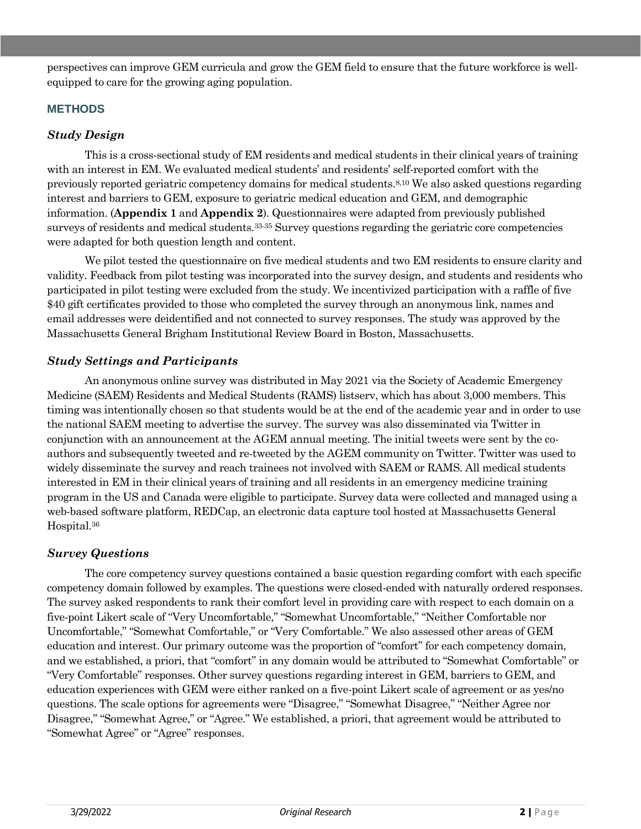perspectives can improve GEM curricula and grow the GEM field to ensure that the future workforce is wellequipped to care for the growing aging population.

#### **METHODS**

#### *Study Design*

This is a cross-sectional study of EM residents and medical students in their clinical years of training with an interest in EM. We evaluated medical students' and residents' self-reported comfort with the previously reported geriatric competency domains for medical students.8,10 We also asked questions regarding interest and barriers to GEM, exposure to geriatric medical education and GEM, and demographic information. (**Appendix 1** and **Appendix 2**). Questionnaires were adapted from previously published surveys of residents and medical students.33-35 Survey questions regarding the geriatric core competencies were adapted for both question length and content.

We pilot tested the questionnaire on five medical students and two EM residents to ensure clarity and validity. Feedback from pilot testing was incorporated into the survey design, and students and residents who participated in pilot testing were excluded from the study. We incentivized participation with a raffle of five \$40 gift certificates provided to those who completed the survey through an anonymous link, names and email addresses were deidentified and not connected to survey responses. The study was approved by the Massachusetts General Brigham Institutional Review Board in Boston, Massachusetts.

#### *Study Settings and Participants*

An anonymous online survey was distributed in May 2021 via the Society of Academic Emergency Medicine (SAEM) Residents and Medical Students (RAMS) listserv, which has about 3,000 members. This timing was intentionally chosen so that students would be at the end of the academic year and in order to use the national SAEM meeting to advertise the survey. The survey was also disseminated via Twitter in conjunction with an announcement at the AGEM annual meeting. The initial tweets were sent by the coauthors and subsequently tweeted and re-tweeted by the AGEM community on Twitter. Twitter was used to widely disseminate the survey and reach trainees not involved with SAEM or RAMS. All medical students interested in EM in their clinical years of training and all residents in an emergency medicine training program in the US and Canada were eligible to participate. Survey data were collected and managed using a web-based software platform, REDCap, an electronic data capture tool hosted at Massachusetts General Hospital.<sup>36</sup>

### *Survey Questions*

The core competency survey questions contained a basic question regarding comfort with each specific competency domain followed by examples. The questions were closed-ended with naturally ordered responses. The survey asked respondents to rank their comfort level in providing care with respect to each domain on a five-point Likert scale of "Very Uncomfortable," "Somewhat Uncomfortable," "Neither Comfortable nor Uncomfortable," "Somewhat Comfortable," or "Very Comfortable." We also assessed other areas of GEM education and interest. Our primary outcome was the proportion of "comfort" for each competency domain, and we established, a priori, that "comfort" in any domain would be attributed to "Somewhat Comfortable" or "Very Comfortable" responses. Other survey questions regarding interest in GEM, barriers to GEM, and education experiences with GEM were either ranked on a five-point Likert scale of agreement or as yes/no questions. The scale options for agreements were "Disagree," "Somewhat Disagree," "Neither Agree nor Disagree," "Somewhat Agree," or "Agree." We established, a priori, that agreement would be attributed to "Somewhat Agree" or "Agree" responses.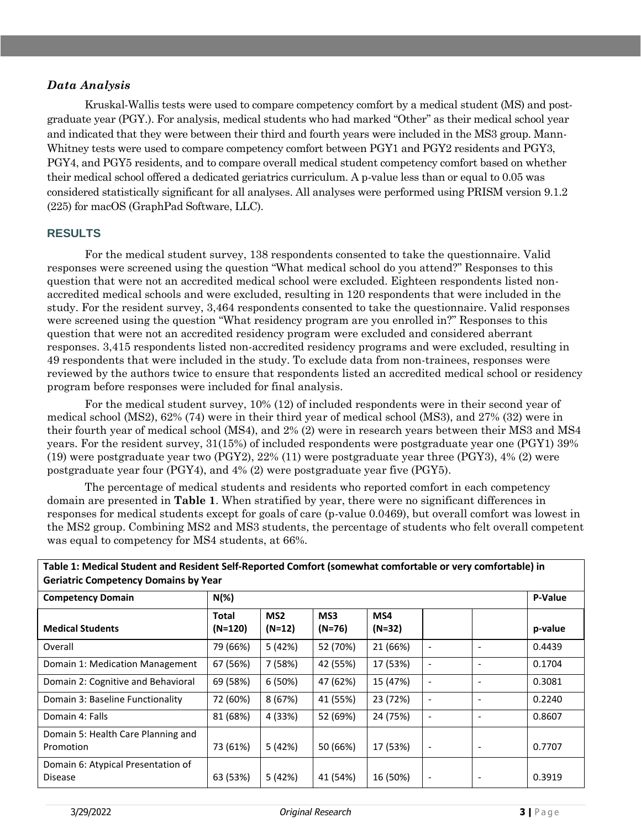#### *Data Analysis*

Kruskal-Wallis tests were used to compare competency comfort by a medical student (MS) and postgraduate year (PGY.). For analysis, medical students who had marked "Other" as their medical school year and indicated that they were between their third and fourth years were included in the MS3 group. Mann-Whitney tests were used to compare competency comfort between PGY1 and PGY2 residents and PGY3, PGY4, and PGY5 residents, and to compare overall medical student competency comfort based on whether their medical school offered a dedicated geriatrics curriculum. A p-value less than or equal to 0.05 was considered statistically significant for all analyses. All analyses were performed using PRISM version 9.1.2 (225) for macOS (GraphPad Software, LLC).

#### **RESULTS**

For the medical student survey, 138 respondents consented to take the questionnaire. Valid responses were screened using the question "What medical school do you attend?" Responses to this question that were not an accredited medical school were excluded. Eighteen respondents listed nonaccredited medical schools and were excluded, resulting in 120 respondents that were included in the study. For the resident survey, 3,464 respondents consented to take the questionnaire. Valid responses were screened using the question "What residency program are you enrolled in?" Responses to this question that were not an accredited residency program were excluded and considered aberrant responses. 3,415 respondents listed non-accredited residency programs and were excluded, resulting in 49 respondents that were included in the study. To exclude data from non-trainees, responses were reviewed by the authors twice to ensure that respondents listed an accredited medical school or residency program before responses were included for final analysis.

For the medical student survey, 10% (12) of included respondents were in their second year of medical school (MS2), 62% (74) were in their third year of medical school (MS3), and 27% (32) were in their fourth year of medical school (MS4), and 2% (2) were in research years between their MS3 and MS4 years. For the resident survey, 31(15%) of included respondents were postgraduate year one (PGY1) 39% (19) were postgraduate year two (PGY2), 22% (11) were postgraduate year three (PGY3), 4% (2) were postgraduate year four (PGY4), and 4% (2) were postgraduate year five (PGY5).

The percentage of medical students and residents who reported comfort in each competency domain are presented in **Table 1**. When stratified by year, there were no significant differences in responses for medical students except for goals of care (p-value 0.0469), but overall comfort was lowest in the MS2 group. Combining MS2 and MS3 students, the percentage of students who felt overall competent was equal to competency for MS4 students, at 66%.

**Table 1: Medical Student and Resident Self-Reported Comfort (somewhat comfortable or very comfortable) in Geriatric Competency Domains by Year**

| <b>Competency Domain</b>                             | $N(\%)$                   |                             |                 |               |                          |                              | P-Value |
|------------------------------------------------------|---------------------------|-----------------------------|-----------------|---------------|--------------------------|------------------------------|---------|
| <b>Medical Students</b>                              | <b>Total</b><br>$(N=120)$ | MS <sub>2</sub><br>$(N=12)$ | MS3<br>$(N=76)$ | MS4<br>(N=32) |                          |                              | p-value |
| Overall                                              | 79 (66%)                  | 5 (42%)                     | 52 (70%)        | 21 (66%)      | $\overline{\phantom{a}}$ | $\qquad \qquad \blacksquare$ | 0.4439  |
| Domain 1: Medication Management                      | 67 (56%)                  | 7 (58%)                     | 42 (55%)        | 17 (53%)      | $\overline{\phantom{a}}$ | $\overline{\phantom{a}}$     | 0.1704  |
| Domain 2: Cognitive and Behavioral                   | 69 (58%)                  | 6(50%)                      | 47 (62%)        | 15 (47%)      | $\overline{\phantom{0}}$ | $\overline{\phantom{0}}$     | 0.3081  |
| Domain 3: Baseline Functionality                     | 72 (60%)                  | 8(67%)                      | 41 (55%)        | 23 (72%)      | $\overline{\phantom{a}}$ | $\overline{\phantom{0}}$     | 0.2240  |
| Domain 4: Falls                                      | 81 (68%)                  | 4 (33%)                     | 52 (69%)        | 24 (75%)      | $\overline{\phantom{a}}$ | $\overline{\phantom{0}}$     | 0.8607  |
| Domain 5: Health Care Planning and<br>Promotion      | 73 (61%)                  | 5 (42%)                     | 50 (66%)        | 17 (53%)      | $\overline{\phantom{a}}$ | $\overline{\phantom{a}}$     | 0.7707  |
| Domain 6: Atypical Presentation of<br><b>Disease</b> | 63 (53%)                  | 5 (42%)                     | 41 (54%)        | 16 (50%)      | $\overline{\phantom{a}}$ | $\overline{\phantom{a}}$     | 0.3919  |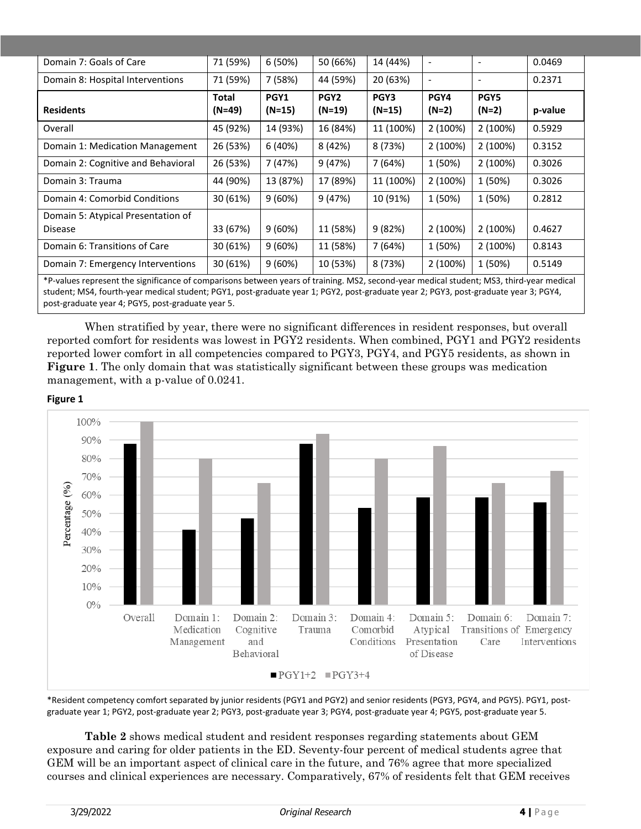| Domain 7: Goals of Care                                                                                                                  | 71 (59%) | 6(50%)    | 50 (66%)         | 14 (44%)  | $\overline{\phantom{0}}$     | $\qquad \qquad \blacksquare$ | 0.0469  |
|------------------------------------------------------------------------------------------------------------------------------------------|----------|-----------|------------------|-----------|------------------------------|------------------------------|---------|
| Domain 8: Hospital Interventions                                                                                                         | 71 (59%) | 7 (58%)   | 44 (59%)         | 20 (63%)  | $\qquad \qquad \blacksquare$ | $\qquad \qquad \blacksquare$ | 0.2371  |
|                                                                                                                                          | Total    | PGY1      | PGY <sub>2</sub> | PGY3      | PGY4                         | PGY5                         |         |
| <b>Residents</b>                                                                                                                         | $(N=49)$ | $(N=15)$  | $(N=19)$         | $(N=15)$  | $(N=2)$                      | $(N=2)$                      | p-value |
| Overall                                                                                                                                  | 45 (92%) | 14 (93%)  | 16 (84%)         | 11 (100%) | 2 (100%)                     | 2 (100%)                     | 0.5929  |
| Domain 1: Medication Management                                                                                                          | 26 (53%) | 6(40%)    | 8 (42%)          | 8 (73%)   | 2 (100%)                     | 2 (100%)                     | 0.3152  |
| Domain 2: Cognitive and Behavioral                                                                                                       | 26 (53%) | 7 (47%)   | 9(47%)           | 7 (64%)   | 1 (50%)                      | 2 (100%)                     | 0.3026  |
| Domain 3: Trauma                                                                                                                         | 44 (90%) | 13 (87%)  | 17 (89%)         | 11 (100%) | 2 (100%)                     | 1 (50%)                      | 0.3026  |
| Domain 4: Comorbid Conditions                                                                                                            | 30 (61%) | $9(60\%)$ | 9(47%)           | 10 (91%)  | 1 (50%)                      | 1 (50%)                      | 0.2812  |
| Domain 5: Atypical Presentation of                                                                                                       |          |           |                  |           |                              |                              |         |
| <b>Disease</b>                                                                                                                           | 33 (67%) | 9(60%)    | 11 (58%)         | 9(82%)    | 2 (100%)                     | 2(100%)                      | 0.4627  |
| Domain 6: Transitions of Care                                                                                                            | 30 (61%) | 9(60%)    | 11 (58%)         | 7 (64%)   | 1 (50%)                      | 2 (100%)                     | 0.8143  |
| Domain 7: Emergency Interventions                                                                                                        | 30 (61%) | 9(60%)    | 10 (53%)         | 8 (73%)   | 2 (100%)                     | 1 (50%)                      | 0.5149  |
| *P-values represent the significance of comparisons between years of training. MS2, second-year medical student; MS3, third-year medical |          |           |                  |           |                              |                              |         |

student; MS4, fourth-year medical student; PGY1, post-graduate year 1; PGY2, post-graduate year 2; PGY3, post-graduate year 3; PGY4, post-graduate year 4; PGY5, post-graduate year 5.

When stratified by year, there were no significant differences in resident responses, but overall reported comfort for residents was lowest in PGY2 residents. When combined, PGY1 and PGY2 residents reported lower comfort in all competencies compared to PGY3, PGY4, and PGY5 residents, as shown in **Figure 1**. The only domain that was statistically significant between these groups was medication management, with a p-value of 0.0241.





\*Resident competency comfort separated by junior residents (PGY1 and PGY2) and senior residents (PGY3, PGY4, and PGY5). PGY1, postgraduate year 1; PGY2, post-graduate year 2; PGY3, post-graduate year 3; PGY4, post-graduate year 4; PGY5, post-graduate year 5.

**Table 2** shows medical student and resident responses regarding statements about GEM exposure and caring for older patients in the ED. Seventy-four percent of medical students agree that GEM will be an important aspect of clinical care in the future, and 76% agree that more specialized courses and clinical experiences are necessary. Comparatively, 67% of residents felt that GEM receives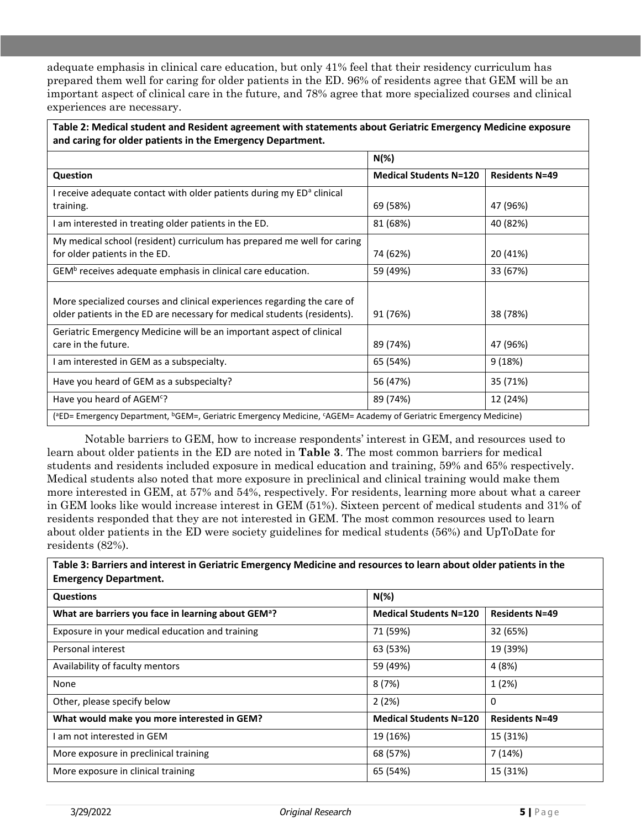adequate emphasis in clinical care education, but only 41% feel that their residency curriculum has prepared them well for caring for older patients in the ED. 96% of residents agree that GEM will be an important aspect of clinical care in the future, and 78% agree that more specialized courses and clinical experiences are necessary.

**Table 2: Medical student and Resident agreement with statements about Geriatric Emergency Medicine exposure and caring for older patients in the Emergency Department.** 

|                                                                                                                                                       | $N(\%)$                       |                       |  |  |
|-------------------------------------------------------------------------------------------------------------------------------------------------------|-------------------------------|-----------------------|--|--|
| Question                                                                                                                                              | <b>Medical Students N=120</b> | <b>Residents N=49</b> |  |  |
| I receive adequate contact with older patients during my ED <sup>a</sup> clinical<br>training.                                                        | 69 (58%)                      | 47 (96%)              |  |  |
| I am interested in treating older patients in the ED.                                                                                                 | 81 (68%)                      | 40 (82%)              |  |  |
| My medical school (resident) curriculum has prepared me well for caring<br>for older patients in the ED.                                              | 74 (62%)                      | 20 (41%)              |  |  |
| GEM <sup>b</sup> receives adequate emphasis in clinical care education.                                                                               | 59 (49%)                      | 33 (67%)              |  |  |
| More specialized courses and clinical experiences regarding the care of<br>older patients in the ED are necessary for medical students (residents).   | 91 (76%)                      | 38 (78%)              |  |  |
| Geriatric Emergency Medicine will be an important aspect of clinical<br>care in the future.                                                           | 89 (74%)                      | 47 (96%)              |  |  |
| I am interested in GEM as a subspecialty.                                                                                                             | 65 (54%)                      | 9(18%)                |  |  |
| Have you heard of GEM as a subspecialty?                                                                                                              | 56 (47%)                      | 35 (71%)              |  |  |
| Have you heard of AGEM <sup>c</sup> ?                                                                                                                 | 89 (74%)                      | 12 (24%)              |  |  |
| ( <sup>a</sup> ED= Emergency Department, <sup>b</sup> GEM=, Geriatric Emergency Medicine, <sup>c</sup> AGEM= Academy of Geriatric Emergency Medicine) |                               |                       |  |  |

Notable barriers to GEM, how to increase respondents' interest in GEM, and resources used to learn about older patients in the ED are noted in **Table 3**. The most common barriers for medical students and residents included exposure in medical education and training, 59% and 65% respectively. Medical students also noted that more exposure in preclinical and clinical training would make them more interested in GEM, at 57% and 54%, respectively. For residents, learning more about what a career in GEM looks like would increase interest in GEM (51%). Sixteen percent of medical students and 31% of residents responded that they are not interested in GEM. The most common resources used to learn about older patients in the ED were society guidelines for medical students (56%) and UpToDate for residents (82%).

**Table 3: Barriers and interest in Geriatric Emergency Medicine and resources to learn about older patients in the Emergency Department.**

| <b>Questions</b>                                                | $N(\%)$                       |                       |  |  |
|-----------------------------------------------------------------|-------------------------------|-----------------------|--|--|
| What are barriers you face in learning about GEM <sup>a</sup> ? | <b>Medical Students N=120</b> | <b>Residents N=49</b> |  |  |
| Exposure in your medical education and training                 | 71 (59%)                      | 32 (65%)              |  |  |
| Personal interest                                               | 63 (53%)                      | 19 (39%)              |  |  |
| Availability of faculty mentors                                 | 59 (49%)                      | 4 (8%)                |  |  |
| None                                                            | 8(7%)                         | 1 (2%)                |  |  |
| Other, please specify below                                     | 2(2%)                         | 0                     |  |  |
| What would make you more interested in GEM?                     | <b>Medical Students N=120</b> | <b>Residents N=49</b> |  |  |
| I am not interested in GEM                                      | 19 (16%)                      | 15 (31%)              |  |  |
| More exposure in preclinical training                           | 68 (57%)                      | 7 (14%)               |  |  |
| More exposure in clinical training                              | 65 (54%)                      | 15 (31%)              |  |  |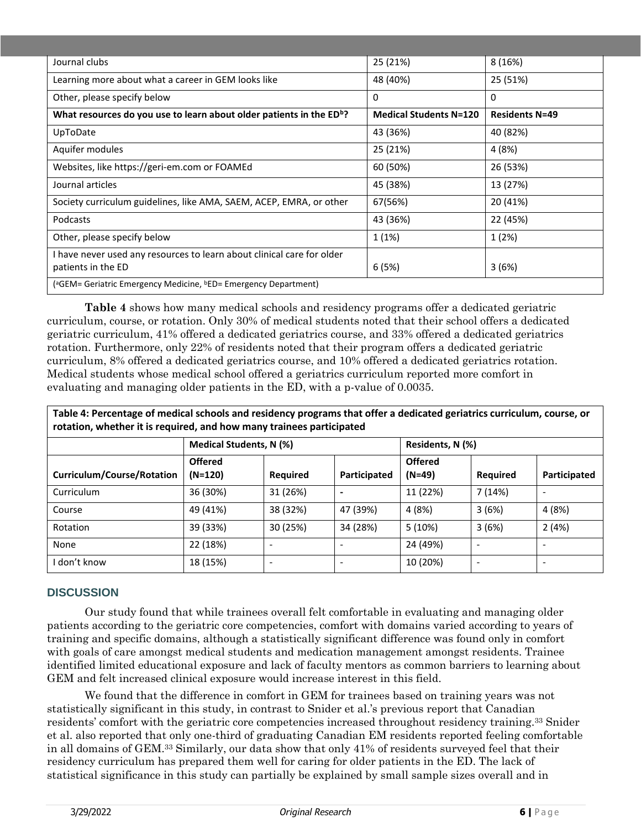| Journal clubs                                                                            | 25 (21%)                      | 8 (16%)               |  |
|------------------------------------------------------------------------------------------|-------------------------------|-----------------------|--|
| Learning more about what a career in GEM looks like                                      | 48 (40%)                      | 25 (51%)              |  |
| Other, please specify below                                                              | $\mathbf{0}$                  | 0                     |  |
| What resources do you use to learn about older patients in the ED <sup>b</sup> ?         | <b>Medical Students N=120</b> | <b>Residents N=49</b> |  |
| UpToDate                                                                                 | 43 (36%)                      | 40 (82%)              |  |
| Aquifer modules                                                                          | 25 (21%)                      | 4 (8%)                |  |
| Websites, like https://geri-em.com or FOAMEd                                             | 60 (50%)                      | 26 (53%)              |  |
| Journal articles                                                                         | 45 (38%)                      | 13 (27%)              |  |
| Society curriculum guidelines, like AMA, SAEM, ACEP, EMRA, or other                      | 67(56%)                       | 20 (41%)              |  |
| Podcasts                                                                                 | 43 (36%)                      | 22 (45%)              |  |
| Other, please specify below                                                              | 1(1%)                         | 1 (2%)                |  |
| I have never used any resources to learn about clinical care for older                   |                               |                       |  |
| patients in the ED                                                                       | 6(5%)                         | 3(6%)                 |  |
| ( <sup>a</sup> GEM= Geriatric Emergency Medicine, <sup>b</sup> ED= Emergency Department) |                               |                       |  |

**Table 4** shows how many medical schools and residency programs offer a dedicated geriatric curriculum, course, or rotation. Only 30% of medical students noted that their school offers a dedicated geriatric curriculum, 41% offered a dedicated geriatrics course, and 33% offered a dedicated geriatrics rotation. Furthermore, only 22% of residents noted that their program offers a dedicated geriatric curriculum, 8% offered a dedicated geriatrics course, and 10% offered a dedicated geriatrics rotation. Medical students whose medical school offered a geriatrics curriculum reported more comfort in evaluating and managing older patients in the ED, with a p-value of 0.0035.

**Table 4: Percentage of medical schools and residency programs that offer a dedicated geriatrics curriculum, course, or rotation, whether it is required, and how many trainees participated**

|                            | Medical Students, N (%)     |                 |                          | Residents, N (%)           |          |                          |
|----------------------------|-----------------------------|-----------------|--------------------------|----------------------------|----------|--------------------------|
| Curriculum/Course/Rotation | <b>Offered</b><br>$(N=120)$ | <b>Required</b> | Participated             | <b>Offered</b><br>$(N=49)$ | Required | Participated             |
| Curriculum                 | 36 (30%)                    | 31 (26%)        | $\overline{\phantom{0}}$ | 11 (22%)                   | 7 (14%)  | $\overline{\phantom{a}}$ |
| Course                     | 49 (41%)                    | 38 (32%)        | 47 (39%)                 | 4(8%)                      | 3(6%)    | 4(8%)                    |
| Rotation                   | 39 (33%)                    | 30 (25%)        | 34 (28%)                 | 5(10%)                     | 3(6%)    | 2(4%)                    |
| None                       | 22 (18%)                    |                 |                          | 24 (49%)                   |          | $\overline{\phantom{0}}$ |
| I don't know               | 18 (15%)                    |                 |                          | 10 (20%)                   |          |                          |

#### **DISCUSSION**

Our study found that while trainees overall felt comfortable in evaluating and managing older patients according to the geriatric core competencies, comfort with domains varied according to years of training and specific domains, although a statistically significant difference was found only in comfort with goals of care amongst medical students and medication management amongst residents. Trainee identified limited educational exposure and lack of faculty mentors as common barriers to learning about GEM and felt increased clinical exposure would increase interest in this field.

We found that the difference in comfort in GEM for trainees based on training years was not statistically significant in this study, in contrast to Snider et al.'s previous report that Canadian residents' comfort with the geriatric core competencies increased throughout residency training.<sup>33</sup> Snider et al. also reported that only one-third of graduating Canadian EM residents reported feeling comfortable in all domains of GEM.<sup>33</sup> Similarly, our data show that only 41% of residents surveyed feel that their residency curriculum has prepared them well for caring for older patients in the ED. The lack of statistical significance in this study can partially be explained by small sample sizes overall and in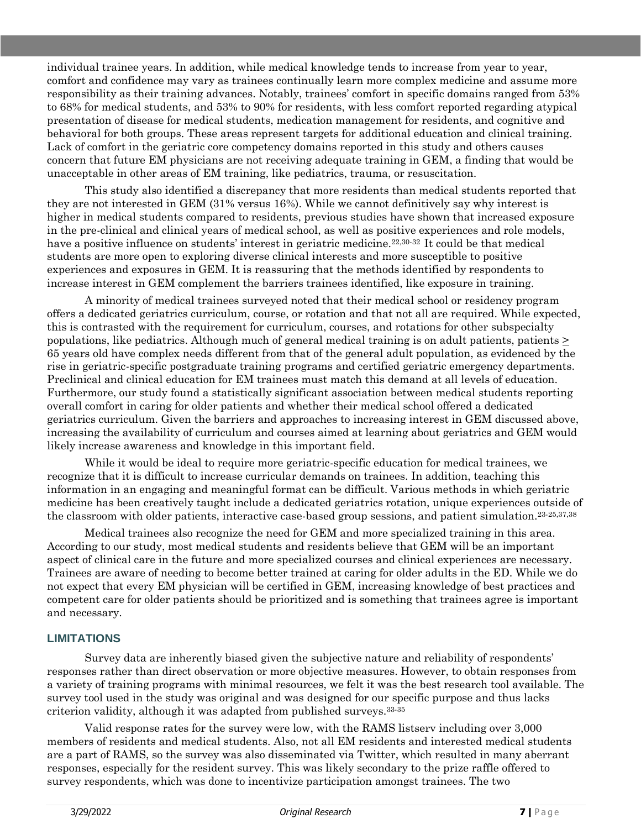individual trainee years. In addition, while medical knowledge tends to increase from year to year, comfort and confidence may vary as trainees continually learn more complex medicine and assume more responsibility as their training advances. Notably, trainees' comfort in specific domains ranged from 53% to 68% for medical students, and 53% to 90% for residents, with less comfort reported regarding atypical presentation of disease for medical students, medication management for residents, and cognitive and behavioral for both groups. These areas represent targets for additional education and clinical training. Lack of comfort in the geriatric core competency domains reported in this study and others causes concern that future EM physicians are not receiving adequate training in GEM, a finding that would be unacceptable in other areas of EM training, like pediatrics, trauma, or resuscitation.

This study also identified a discrepancy that more residents than medical students reported that they are not interested in GEM (31% versus 16%). While we cannot definitively say why interest is higher in medical students compared to residents, previous studies have shown that increased exposure in the pre-clinical and clinical years of medical school, as well as positive experiences and role models, have a positive influence on students' interest in geriatric medicine.<sup>22,30-32</sup> It could be that medical students are more open to exploring diverse clinical interests and more susceptible to positive experiences and exposures in GEM. It is reassuring that the methods identified by respondents to increase interest in GEM complement the barriers trainees identified, like exposure in training.

A minority of medical trainees surveyed noted that their medical school or residency program offers a dedicated geriatrics curriculum, course, or rotation and that not all are required. While expected, this is contrasted with the requirement for curriculum, courses, and rotations for other subspecialty populations, like pediatrics. Although much of general medical training is on adult patients, patients > 65 years old have complex needs different from that of the general adult population, as evidenced by the rise in geriatric-specific postgraduate training programs and certified geriatric emergency departments. Preclinical and clinical education for EM trainees must match this demand at all levels of education. Furthermore, our study found a statistically significant association between medical students reporting overall comfort in caring for older patients and whether their medical school offered a dedicated geriatrics curriculum. Given the barriers and approaches to increasing interest in GEM discussed above, increasing the availability of curriculum and courses aimed at learning about geriatrics and GEM would likely increase awareness and knowledge in this important field.

While it would be ideal to require more geriatric-specific education for medical trainees, we recognize that it is difficult to increase curricular demands on trainees. In addition, teaching this information in an engaging and meaningful format can be difficult. Various methods in which geriatric medicine has been creatively taught include a dedicated geriatrics rotation, unique experiences outside of the classroom with older patients, interactive case-based group sessions, and patient simulation.23-25,37,38

Medical trainees also recognize the need for GEM and more specialized training in this area. According to our study, most medical students and residents believe that GEM will be an important aspect of clinical care in the future and more specialized courses and clinical experiences are necessary. Trainees are aware of needing to become better trained at caring for older adults in the ED. While we do not expect that every EM physician will be certified in GEM, increasing knowledge of best practices and competent care for older patients should be prioritized and is something that trainees agree is important and necessary.

#### **LIMITATIONS**

Survey data are inherently biased given the subjective nature and reliability of respondents' responses rather than direct observation or more objective measures. However, to obtain responses from a variety of training programs with minimal resources, we felt it was the best research tool available. The survey tool used in the study was original and was designed for our specific purpose and thus lacks criterion validity, although it was adapted from published surveys.33-35

Valid response rates for the survey were low, with the RAMS listserv including over 3,000 members of residents and medical students. Also, not all EM residents and interested medical students are a part of RAMS, so the survey was also disseminated via Twitter, which resulted in many aberrant responses, especially for the resident survey. This was likely secondary to the prize raffle offered to survey respondents, which was done to incentivize participation amongst trainees. The two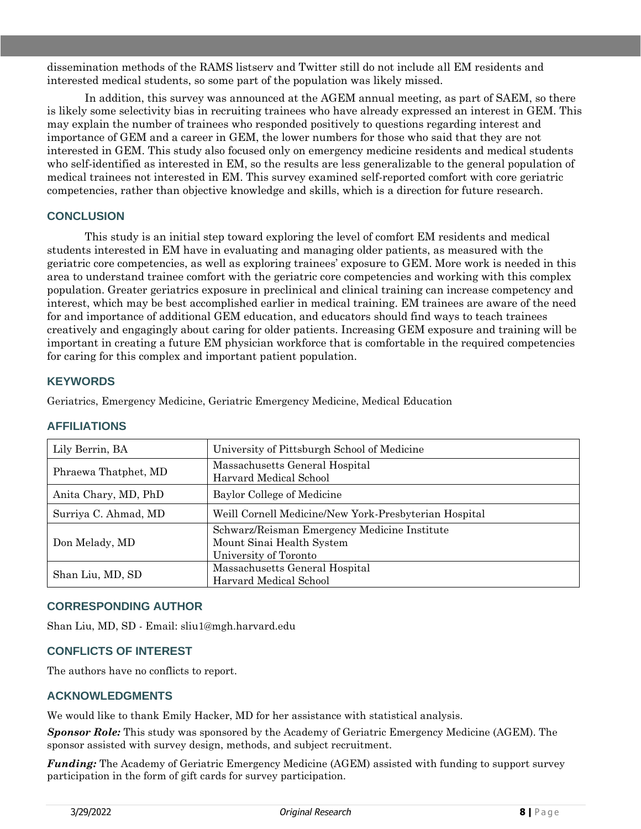dissemination methods of the RAMS listserv and Twitter still do not include all EM residents and interested medical students, so some part of the population was likely missed.

In addition, this survey was announced at the AGEM annual meeting, as part of SAEM, so there is likely some selectivity bias in recruiting trainees who have already expressed an interest in GEM. This may explain the number of trainees who responded positively to questions regarding interest and importance of GEM and a career in GEM, the lower numbers for those who said that they are not interested in GEM. This study also focused only on emergency medicine residents and medical students who self-identified as interested in EM, so the results are less generalizable to the general population of medical trainees not interested in EM. This survey examined self-reported comfort with core geriatric competencies, rather than objective knowledge and skills, which is a direction for future research.

#### **CONCLUSION**

This study is an initial step toward exploring the level of comfort EM residents and medical students interested in EM have in evaluating and managing older patients, as measured with the geriatric core competencies, as well as exploring trainees' exposure to GEM. More work is needed in this area to understand trainee comfort with the geriatric core competencies and working with this complex population. Greater geriatrics exposure in preclinical and clinical training can increase competency and interest, which may be best accomplished earlier in medical training. EM trainees are aware of the need for and importance of additional GEM education, and educators should find ways to teach trainees creatively and engagingly about caring for older patients. Increasing GEM exposure and training will be important in creating a future EM physician workforce that is comfortable in the required competencies for caring for this complex and important patient population.

#### **KEYWORDS**

Geriatrics, Emergency Medicine, Geriatric Emergency Medicine, Medical Education

| Lily Berrin, BA      | University of Pittsburgh School of Medicine                                                        |
|----------------------|----------------------------------------------------------------------------------------------------|
| Phraewa Thatphet, MD | Massachusetts General Hospital<br>Harvard Medical School                                           |
| Anita Chary, MD, PhD | Baylor College of Medicine                                                                         |
| Surriya C. Ahmad, MD | Weill Cornell Medicine/New York-Presbyterian Hospital                                              |
| Don Melady, MD       | Schwarz/Reisman Emergency Medicine Institute<br>Mount Sinai Health System<br>University of Toronto |
| Shan Liu, MD, SD     | Massachusetts General Hospital<br>Harvard Medical School                                           |

#### **AFFILIATIONS**

#### **CORRESPONDING AUTHOR**

Shan Liu, MD, SD - Email: sliu1@mgh.harvard.edu

#### **CONFLICTS OF INTEREST**

The authors have no conflicts to report.

#### **ACKNOWLEDGMENTS**

We would like to thank Emily Hacker, MD for her assistance with statistical analysis.

*Sponsor Role:* This study was sponsored by the Academy of Geriatric Emergency Medicine (AGEM). The sponsor assisted with survey design, methods, and subject recruitment.

*Funding:* The Academy of Geriatric Emergency Medicine (AGEM) assisted with funding to support survey participation in the form of gift cards for survey participation.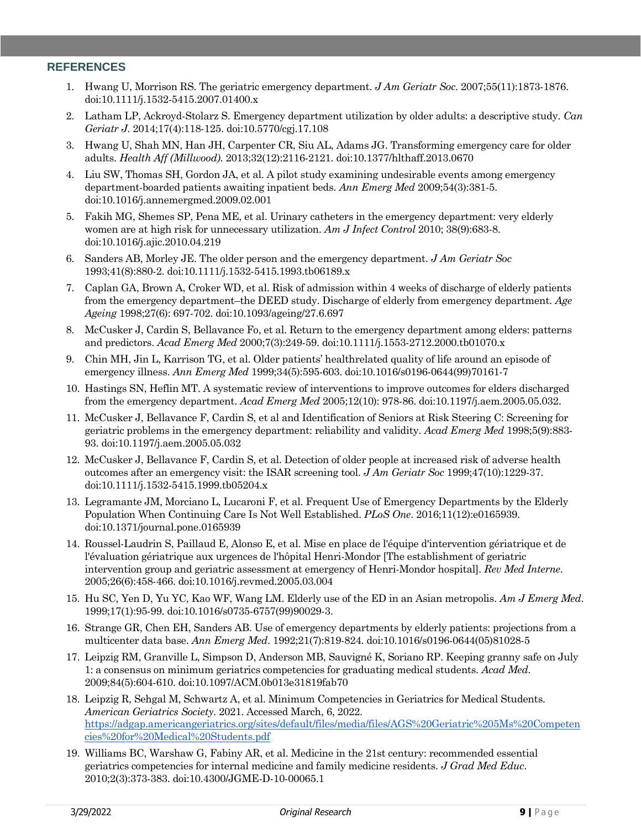#### **REFERENCES**

- 1. Hwang U, Morrison RS. The geriatric emergency department. *J Am Geriatr Soc*. 2007;55(11):1873-1876. doi:10.1111/j.1532-5415.2007.01400.x
- 2. Latham LP, Ackroyd-Stolarz S. Emergency department utilization by older adults: a descriptive study. *Can Geriatr J*. 2014;17(4):118-125. doi:10.5770/cgj.17.108
- 3. Hwang U, Shah MN, Han JH, Carpenter CR, Siu AL, Adams JG. Transforming emergency care for older adults. *Health Aff (Millwood)*. 2013;32(12):2116-2121. doi:10.1377/hlthaff.2013.0670
- 4. Liu SW, Thomas SH, Gordon JA, et al. A pilot study examining undesirable events among emergency department-boarded patients awaiting inpatient beds. *Ann Emerg Med* 2009;54(3):381-5. doi:10.1016/j.annemergmed.2009.02.001
- 5. Fakih MG, Shemes SP, Pena ME, et al. Urinary catheters in the emergency department: very elderly women are at high risk for unnecessary utilization. *Am J Infect Control* 2010; 38(9):683-8. doi:10.1016/j.ajic.2010.04.219
- 6. Sanders AB, Morley JE. The older person and the emergency department. *J Am Geriatr Soc* 1993;41(8):880-2. doi:10.1111/j.1532-5415.1993.tb06189.x
- 7. Caplan GA, Brown A, Croker WD, et al. Risk of admission within 4 weeks of discharge of elderly patients from the emergency department–the DEED study. Discharge of elderly from emergency department. *Age Ageing* 1998;27(6): 697-702. doi:10.1093/ageing/27.6.697
- 8. McCusker J, Cardin S, Bellavance Fo, et al. Return to the emergency department among elders: patterns and predictors. *Acad Emerg Med* 2000;7(3):249-59. doi:10.1111/j.1553-2712.2000.tb01070.x
- 9. Chin MH, Jin L, Karrison TG, et al. Older patients' healthrelated quality of life around an episode of emergency illness. *Ann Emerg Med* 1999;34(5):595-603. doi:10.1016/s0196-0644(99)70161-7
- 10. Hastings SN, Heflin MT. A systematic review of interventions to improve outcomes for elders discharged from the emergency department. *Acad Emerg Med* 2005;12(10): 978-86. doi:10.1197/j.aem.2005.05.032.
- 11. McCusker J, Bellavance F, Cardin S, et al and Identification of Seniors at Risk Steering C: Screening for geriatric problems in the emergency department: reliability and validity. *Acad Emerg Med* 1998;5(9):883- 93. doi:10.1197/j.aem.2005.05.032
- 12. McCusker J, Bellavance F, Cardin S, et al. Detection of older people at increased risk of adverse health outcomes after an emergency visit: the ISAR screening tool. *J Am Geriatr Soc* 1999;47(10):1229-37. doi:10.1111/j.1532-5415.1999.tb05204.x
- 13. Legramante JM, Morciano L, Lucaroni F, et al. Frequent Use of Emergency Departments by the Elderly Population When Continuing Care Is Not Well Established. *PLoS One*. 2016;11(12):e0165939. doi:10.1371/journal.pone.0165939
- 14. Roussel-Laudrin S, Paillaud E, Alonso E, et al. Mise en place de l'équipe d'intervention gériatrique et de l'évaluation gériatrique aux urgences de l'hôpital Henri-Mondor [The establishment of geriatric intervention group and geriatric assessment at emergency of Henri-Mondor hospital]. *Rev Med Interne*. 2005;26(6):458-466. doi:10.1016/j.revmed.2005.03.004
- 15. Hu SC, Yen D, Yu YC, Kao WF, Wang LM. Elderly use of the ED in an Asian metropolis. *Am J Emerg Med*. 1999;17(1):95-99. doi:10.1016/s0735-6757(99)90029-3.
- 16. Strange GR, Chen EH, Sanders AB. Use of emergency departments by elderly patients: projections from a multicenter data base. *Ann Emerg Med*. 1992;21(7):819-824. doi:10.1016/s0196-0644(05)81028-5
- 17. Leipzig RM, Granville L, Simpson D, Anderson MB, Sauvigné K, Soriano RP. Keeping granny safe on July 1: a consensus on minimum geriatrics competencies for graduating medical students. *Acad Med*. 2009;84(5):604-610. doi:10.1097/ACM.0b013e31819fab70
- 18. Leipzig R, Sehgal M, Schwartz A, et al. Minimum Competencies in Geriatrics for Medical Students. *American Geriatrics Society*. 2021. Accessed March, 6, 2022. [https://adgap.americangeriatrics.org/sites/default/files/media/files/AGS%20Geriatric%205Ms%20Competen](https://adgap.americangeriatrics.org/sites/default/files/media/files/AGS%20Geriatric%205Ms%20Competencies%20for%20Medical%20Students.pdf) [cies%20for%20Medical%20Students.pdf](https://adgap.americangeriatrics.org/sites/default/files/media/files/AGS%20Geriatric%205Ms%20Competencies%20for%20Medical%20Students.pdf)
- 19. Williams BC, Warshaw G, Fabiny AR, et al. Medicine in the 21st century: recommended essential geriatrics competencies for internal medicine and family medicine residents. *J Grad Med Educ*. 2010;2(3):373-383. doi:10.4300/JGME-D-10-00065.1